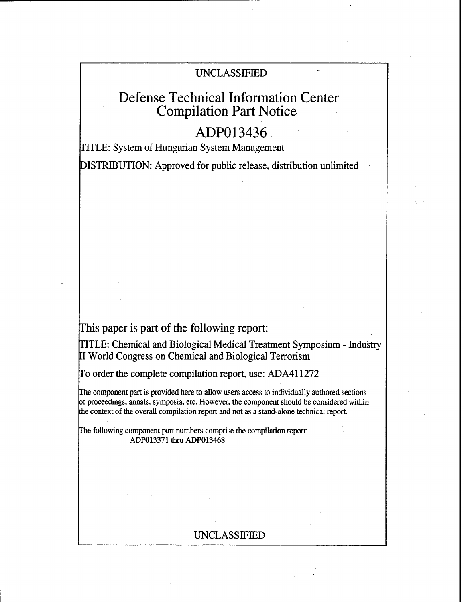# UNCLASSIFIED

# Defense Technical Information Center Compilation Part Notice

# ADP013436

TITLE: System of Hungarian System Management

DISTRIBUTION: Approved for public release, distribution unlimited

## This paper is part of the following report:

TITLE: Chemical and Biological Medical Treatment Symposium - Industry [I World Congress on Chemical and Biological Terrorism

To order the complete compilation report, use: ADA411272

The component part is provided here to allow users access to individually authored sections cf proceedings, annals, symposia, etc. However. the component should be considered within the context of the overall compilation report and not as a stand-alone technical report.

The following component part numbers comprise the compilation report: ADP013371 thru ADP013468

## UNCLASSIFIED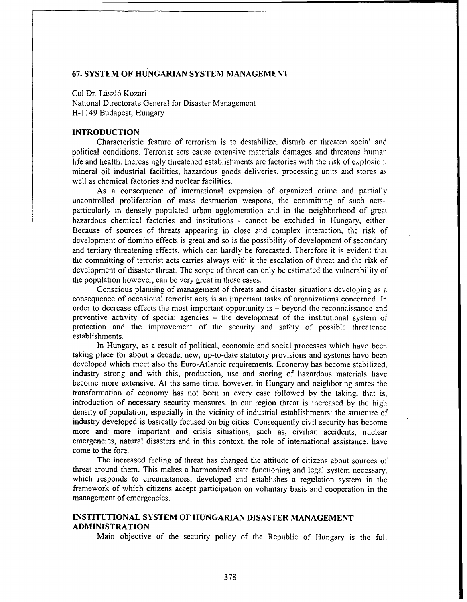## **67.** SYSTEM OF **HUNGARIAN** SYSTEM **MANAGEMENT**

Col.Dr. László Kozári National Directorate General for Disaster Managemcnt H- 1149 Budapest, Hungary

## **INTRODUCTION**

Characteristic feature of terrorism is to destabilize, disturb or threaten social and political conditions. Terrorist acts cause extensive materials damages and threatens human life and health. Increasingly threatened establishments arc factories with the risk of explosion. mineral oil industrial facilities, hazardous goods deliveries. processing units and stores as well as chemical factories and nuclear facilities.

As a consequence of international expansion of organized crime and partially uncontrolled proliferation of mass destruction weapons, the committing of such actsparticularly in densely populated urban agglomeration and in the neighborhood of great hazardous chemical factories and institutions - cannot be excluded in Hungary, either. Because of sources of threats appearing in close and complex interaction, the risk of development of domino effects is great and so is the possibility of development of secondary and tertiary threatening effects, which can hardly be forecasted. Therefore it is evident that the committing of terrorist acts carries always with it the escalation of threat and the risk of development of disaster threat. The scope of threat can only be estimated the vulnerability of the population however, can be very great in these cases.

Conscious planning of management of threats and disaster situations developing as a consequence of occasional terrorist acts is an important tasks of organizations concerned. In order to decrease effects the most important opportunity is - beyond the reconnaissance and preventive activity of special agencies - the development of the institutional system of protection and the improvement of the security and safety of possible threatened establishments.

In Hungary, as a result of political, economic and social processes which have been taking place for about a decade, new, up-to-date statutory provisions and systems have been developed which meet also the Euro-Atlantic requirements. Economy has become stabilized, industry strong and with this, production, use and storing of hazardous materials have become more extensive. At the same time, however, in Hungary and neighboring states the transformation of economy has not been in every case followed by the taking. that is, introduction of necessary security measures. In our region threat is increased by the high density of population, especially in the vicinity of industrial establishments: the structure of industry developed is basically focused on big cities. Consequently civil security has become more and more important and crisis situations, such as, civilian accidents, nuclear emergencies, natural disasters and in this context, the role of international assistance, have come to the fore.

The increased feeling of threat has changed the attitude of citizens about sources of threat around them. This makes a harmonized state functioning and legal system necessary, which responds to circumstances, developed and establishes a regulation system in the framework of which citizens accept participation on voluntary basis and cooperation in the management of emergencies.

## **INSTITUTIONAL** SYSTEM OF HUNGARIAN **DISASTER MANAGEMENT** ADMINISTRATION

Main objective of the security policy of the Republic of Hungary is the full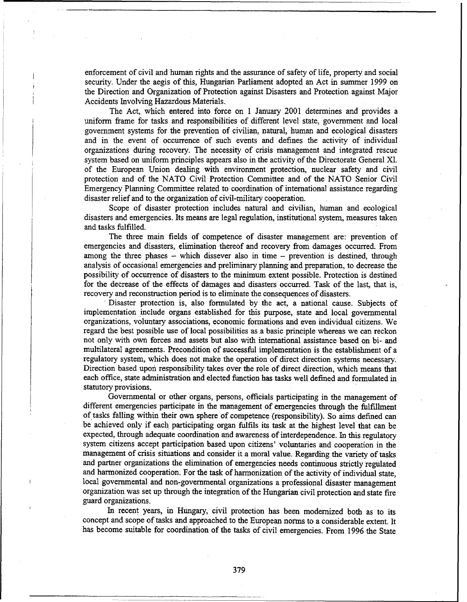enforcement of civil and human rights and the assurance of safety of life, property and social security. Under the aegis of this, Hungarian Parliament adopted an Act in summer 1999 on the Direction and Organization of Protection against Disasters and Protection against Major Accidents Involving Hazardous Materials.

The Act, which entered into force on 1 January 2001 determines and provides a uniform frame for tasks and responsibilities of different level state, government and local government systems for the prevention of civilian, natural, human and ecological disasters and in the event of occurrence of such events and defines the activity of individual organizations during recovery. The necessity of crisis management and integrated rescue system based on uniform principles appears also in the activity of the Directorate General XI. of the European Union dealing with environment protection, nuclear safety and civil protection and of the NATO Civil Protection Committee and of the NATO Senior Civil Emergency Planning Committee related to coordination of international assistance regarding disaster relief and to the organization of civil-military cooperation.

Scope of disaster protection includes natural and civilian, human and ecological disasters and emergencies. Its means are legal regulation, institutional system, measures taken and tasks fulfilled.

The three main fields of competence of disaster management are: prevention of emergencies and disasters, elimination thereof and recovery from damages occurred. From among the three phases  $-$  which dissever also in time  $-$  prevention is destined, through analysis of occasional emergencies and preliminary planning and preparation, to decrease the possibility of occurrence of disasters to the minimum extent possible. Protection is destined for the decrease of the effects of damages and disasters occurred. Task of the last, that is, recovery and reconstruction period is to eliminate the consequences of disasters.

Disaster protection is, also formulated by the act, a national cause. Subjects of implementation include organs established for this purpose, state and local governmental organizations, voluntary associations, economic formations and even individual citizens. We regard the best possible use of local possibilities as .a basic principle whereas we can reckon not only with own forces and assets but also with international assistance based on bi- and multilateral agreements. Precondition of successful implementation is the establishment of a regulatory system, which does not make the operation of direct direction systems necessary. Direction based upon responsibility takes over the role of direct direction, which means that each office, state administration and elected function has tasks well defined and formulated in statutory provisions.

Governmental or other organs, persons, officials participating in the management of different emergencies participate in the management of emergencies through the fulfillment of tasks falling within their own sphere of competence (responsibility). So aims defined can be achieved only if each participating organ fulfils its task at the highest level that can be expected, through adequate coordination and awareness of interdependence. In this regulatory system citizens accept participation based upon citizens' voluntaries and cooperation in the management of crisis situations and consider it a moral value. Regarding the variety of tasks and partner organizations the elimination of emergencies needs continuous strictly regulated and harmonized cooperation. For the task of harmonization of the activity of individual state, local governmental and non-governmental organizations a professional disaster management organization was set up through the integration of the Hungarian civil protection and state fire guard organizations.

In recent years, in Hungary, civil protection has been modernized both as to its concept and scope of tasks and approached to the European norms to a considerable extent. It has become suitable for coordination of the tasks of civil emergencies. From 1996 the State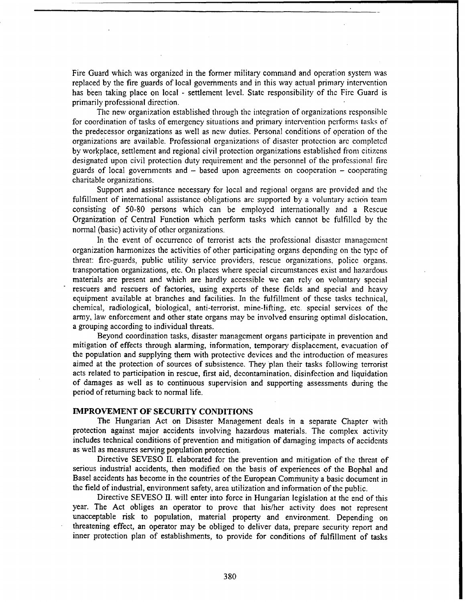Fire Guard which was organized in the former military command and operation system was replaced by the fire guards of local governments and in this way actual primary intervention has been taking place on local - settlement level. State responsibility of the Fire Guard is primarily professional direction.

The new organization established through the integration of organizations responsible for coordination of tasks of emergency situations and primary intervention performs tasks of the predecessor organizations as well as new duties. Personal conditions of operation of the organizations are available. Professional organizations of disaster protection arc completed by workplace, settlement and regional civil protection organizations established fiom citizens designated upon civil protection duty requirement and the personnel of the professional fire guards of local governments and  $-$  based upon agreements on cooperation  $-$  cooperating charitable organizations.

Support and assistance necessary for local and regional organs are provided and the fulfillment of international assistance obligations are supported by a voluntary action team consisting of 50-80 persons which can be employed internationally and a Rescue Organization of Central Function which perform tasks which cannot be fulfilled by the normal (basic) activity of other organizations.

In the event of occurrence of terrorist acts the professional disaster management organization harmonizes the activities of other participating organs depending on the type of threat: fire-guards, public utility service providers, rescue organizations, police organs. transportation organizations, etc. On places where special circumstances exist and hazardous materials are present and which are hardly accessible we can rely on voluntary special rescuers and rescuers of factories, using experts of these fields and special and heavy equipment available at branches and facilities. In the fulfillment of these tasks technical, chemical, radiological, biological, anti-terrorist, mine-lifting, etc. special services of the army, law enforcement and other state organs may be involved ensuring optimal dislocation. a grouping according to individual threats.

Beyond coordination tasks, disaster management organs participate in prevention and mitigation of effects through alarming, infonrmation, temporary displacement, evacuation of the population and supplying them with protective devices and the introduction of measures aimed at the protection of sources of subsistence. They plan their tasks following terrorist acts related to participation in rescue, first aid, decontamination, disinfection and liquidation of damages as well as to continuous supervision and supporting assessments during the period of returning back to normal life.

#### IMPROVEMENT OF SECURITY **CONDITIONS**

The Hungarian Act on Disaster Management deals in a separate Chapter with protection against major accidents involving hazardous materials. The complex activity includes technical conditions of prevention and mitigation of damaging impacts of accidents as well as measures serving population protection.

Directive SEVESO II. elaborated for the prevention and mitigation of the threat of serious industrial accidents, then modified on the basis of experiences of the Bophal and Basel accidents has become in the countries of the European Community a basic document in the field of industrial, environment safety, area utilization and information of the public.

Directive SEVESO II. will enter into force in Hungarian legislation at the end of this year. The Act obliges an operator to prove that his/her activity does not represent unacceptable risk to population, material property and environment. Depending on threatening effect, an operator may be obliged to deliver data, prepare security report and inner protection plan of establishments, to provide for conditions of fulfillment of tasks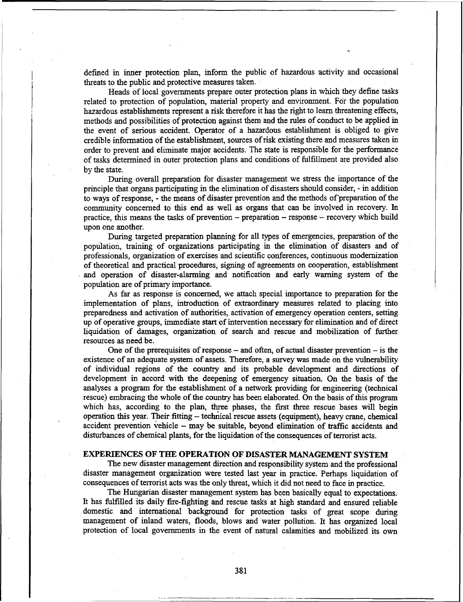defined in inner protection plan, inform the public of hazardous activity and occasional threats to the public and protective measures taken.

Heads of local governments prepare outer protection plans in which they define tasks related to protection of population, material property and environment. For the population hazardous establishments represent a risk therefore it has the right to learn threatening effects, methods and possibilities of protection against them and the rules of conduct to be applied in the event of serious accident. Operator of a hazardous establishment is obliged to give credible information of the establishment, sources of risk existing there and measures taken in order to prevent and eliminate major accidents. The state is responsible for the performance of tasks determined in outer protection plans and conditions of fulfillment are provided also by the state.

During overall preparation for disaster management we stress the importance of the principle that organs participating in the elimination of disasters should consider, - in addition to ways of response, - the means of disaster prevention and the methods of'preparation of the community concerned to this end as well as organs that can be involved in recovery. In practice, this means the tasks of prevention - preparation - response - recovery which build upon one another.

During targeted preparation planning for all types of emergencies, preparation of the population, training of organizations participating in the elimination of disasters and of professionals, organization of exercises and scientific conferences, continuous modernization of theoretical and practical procedures, signing of agreements on cooperation, establishment and operation of disaster-alarming and notification and early warning system of the population are of primary importance.

As far as response is concerned, we attach special importance to preparation for the implementation of plans, introduction of extraordinary measures related to placing into preparedness and activation of authorities, activation of emergency operation centers, setting up of operative groups, immediate start of intervention necessary for elimination and of direct liquidation of damages, organization of search and rescue and mobilization of further resources as need be.

One of the prerequisites of response  $-$  and often, of actual disaster prevention  $-$  is the existence of an adequate system of assets. Therefore, a survey was made on the vulnerability of individual regions of the country and its probable development and directions of development in accord with the deepening of emergency situation. On the basis of the analyses a program for the establishment of a network providing for engineering (technical rescue) embracing the whole of the country has been elaborated. On the basis of this program which has, according to the plan, three phases, the first three rescue bases will begin operation this year. Their fitting - technical rescue assets (equipment), heavy crane, chemical accident prevention vehicle - may be suitable, beyond elimination of traffic accidents and disturbances of chemical plants, for the liquidation of the consequences of terrorist acts.

### EXPERIENCES OF THE OPERATION OF **DISASTER MANAGEMENT** SYSTEM

The new disaster management direction and responsibility system and the professional disaster management organization were tested last year in practice. Perhaps liquidation of consequences of terrorist acts was the only threat, which it did not need to face in practice.

The Hungarian disaster management system has been basically equal to expectations. It has fulfilled its daily fire-fighting and rescue tasks at high standard and ensured reliable domestic and international background for protection tasks of great scope during management of inland waters, floods, blows and water pollution. It has organized local protection of local governments in the event of natural calamities and mobilized its own